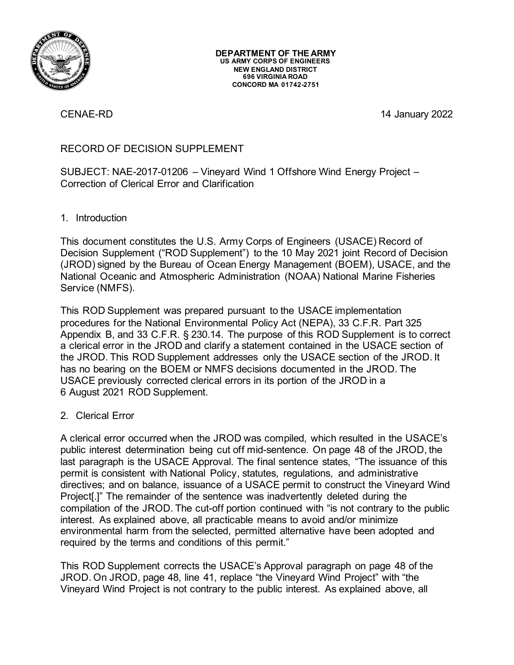

CENAE-RD 14 January 2022

# RECORD OF DECISION SUPPLEMENT

SUBJECT: NAE-2017-01206 – Vineyard Wind 1 Offshore Wind Energy Project – Correction of Clerical Error and Clarification

# 1. Introduction

This document constitutes the U.S. Army Corps of Engineers (USACE) Record of Decision Supplement ("ROD Supplement") to the 10 May 2021 joint Record of Decision (JROD) signed by the Bureau of Ocean Energy Management (BOEM), USACE, and the National Oceanic and Atmospheric Administration (NOAA) National Marine Fisheries Service (NMFS).

This ROD Supplement was prepared pursuant to the USACE implementation procedures for the National Environmental Policy Act (NEPA), 33 C.F.R. Part 325 Appendix B, and 33 C.F.R. § 230.14. The purpose of this ROD Supplement is to correct a clerical error in the JROD and clarify a statement contained in the USACE section of the JROD. This ROD Supplement addresses only the USACE section of the JROD. It has no bearing on the BOEM or NMFS decisions documented in the JROD. The USACE previously corrected clerical errors in its portion of the JROD in a 6 August 2021 ROD Supplement.

# 2. Clerical Error

A clerical error occurred when the JROD was compiled, which resulted in the USACE's public interest determination being cut off mid-sentence. On page 48 of the JROD, the last paragraph is the USACE Approval. The final sentence states, "The issuance of this permit is consistent with National Policy, statutes, regulations, and administrative directives; and on balance, issuance of a USACE permit to construct the Vineyard Wind Project[.]" The remainder of the sentence was inadvertently deleted during the compilation of the JROD. The cut-off portion continued with "is not contrary to the public interest. As explained above, all practicable means to avoid and/or minimize environmental harm from the selected, permitted alternative have been adopted and required by the terms and conditions of this permit."

This ROD Supplement corrects the USACE's Approval paragraph on page 48 of the JROD. On JROD, page 48, line 41, replace "the Vineyard Wind Project" with "the Vineyard Wind Project is not contrary to the public interest. As explained above, all